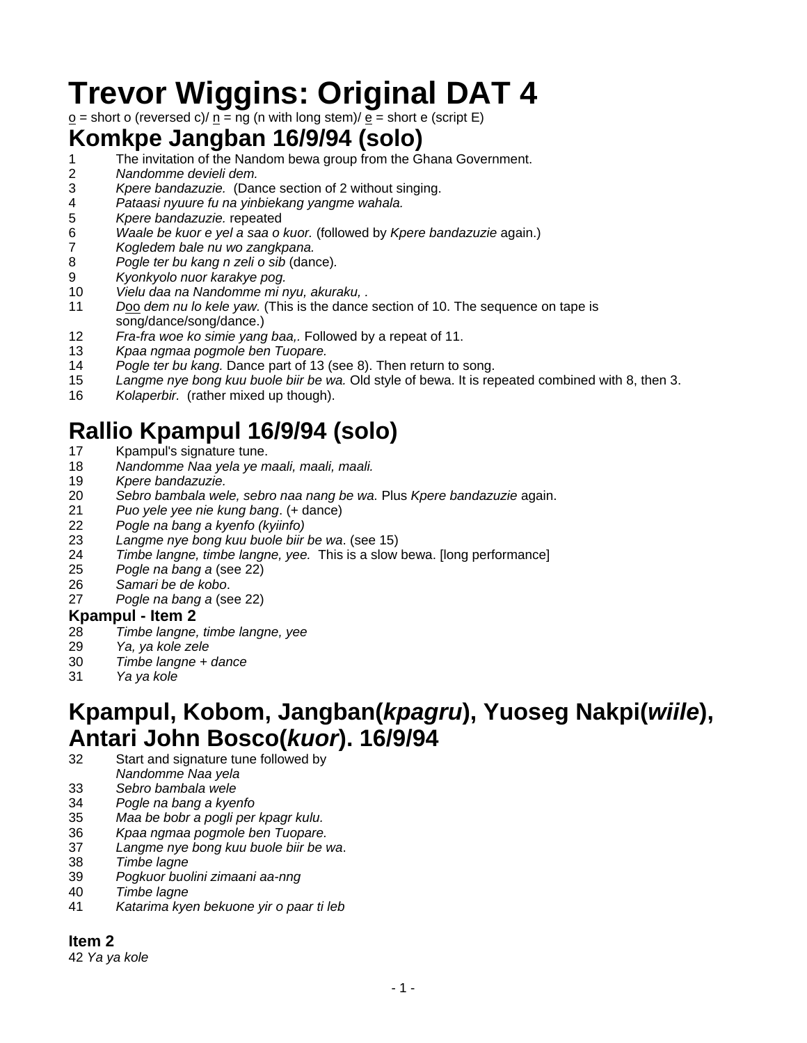# **Trevor Wiggins: Original DAT 4**

 $\underline{o}$  = short o (reversed c)/  $\underline{n}$  = ng (n with long stem)/  $\underline{\overline{e}}$  = short e (script E)

## **Komkpe Jangban 16/9/94 (solo)**

- 1 The invitation of the Nandom bewa group from the Ghana Government.<br>2 Mandomme devieli dem.
- *Nandomme devieli dem.*
- *Kpere bandazuzie.* (Dance section of 2 without singing.
- *Pataasi nyuure fu na yinbiekang yangme wahala.*
- *Kpere bandazuzie.* repeated
- *Waale be kuor e yel a saa o kuor.* (followed by *Kpere bandazuzie* again.)
- *Kogledem bale nu wo zangkpana.*
- *Pogle ter bu kang n zeli o sib* (dance)*.*
- *Kyonkyolo nuor karakye pog.*
- *Vielu daa na Nandomme mi nyu, akuraku, .*
- *D*oo *dem nu lo kele yaw.* (This is the dance section of 10. The sequence on tape is song/dance/song/dance.)
- *Fra-fra woe ko simie yang baa,.* Followed by a repeat of 11.
- *Kpaa ngmaa pogmole ben Tuopare.*
- *Pogle ter bu kang.* Dance part of 13 (see 8). Then return to song.
- *Langme nye bong kuu buole biir be wa.* Old style of bewa. It is repeated combined with 8, then 3.
- *Kolaperbir.* (rather mixed up though).

# **Rallio Kpampul 16/9/94 (solo)**

- 17 Kpampul's signature tune.
- *Nandomme Naa yela ye maali, maali, maali.*
- *Kpere bandazuzie.*
- *Sebro bambala wele, sebro naa nang be wa.* Plus *Kpere bandazuzie* again.
- *Puo yele yee nie kung bang*. (+ dance)
- 
- *Pogle na bang a kyenfo (kyiinfo)*  Langme nye bong kuu buole biir be wa. (see 15)
- *Timbe langne, timbe langne, yee.* This is a slow bewa. [long performance]
- *Pogle na bang a* (see 22)
- *Samari be de kobo*.
- *Pogle na bang a* (see 22)

#### **Kpampul - Item 2**

- *Timbe langne, timbe langne, yee*
- *Ya, ya kole zele*
- *Timbe langne + dance*
- *Ya ya kole*

# **Kpampul, Kobom, Jangban(***kpagru***), Yuoseg Nakpi(***wiile***), Antari John Bosco(***kuor***). 16/9/94**

- 32 Start and signature tune followed by
- *Nandomme Naa yela*
- *Sebro bambala wele*
- *Pogle na bang a kyenfo*
- *Maa be bobr a pogli per kpagr kulu.*
- *Kpaa ngmaa pogmole ben Tuopare.*
- *Langme nye bong kuu buole biir be wa*.
- *Timbe lagne*
- *Pogkuor buolini zimaani aa-nng*
- *Timbe lagne*
- *Katarima kyen bekuone yir o paar ti leb*

#### **Item 2**

*Ya ya kole*